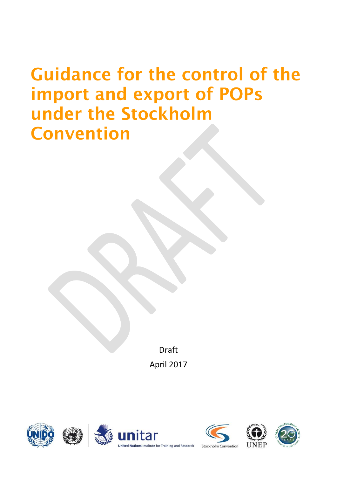# **Guidance for the control of the** import and export of POPs under the Stockholm **Convention**

Draft April 2017











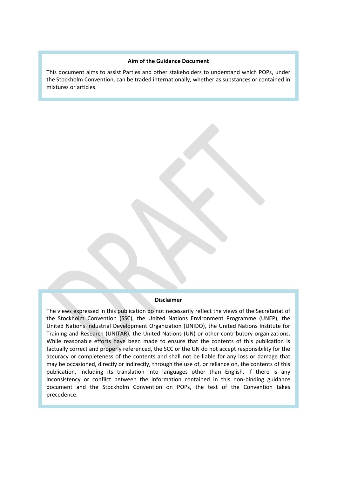#### **Aim of the Guidance Document**

This document aims to assist Parties and other stakeholders to understand which POPs, under the Stockholm Convention, can be traded internationally, whether as substances or contained in mixtures or articles.

#### **Disclaimer**

The views expressed in this publication do not necessarily reflect the views of the Secretariat of the Stockholm Convention (SSC), the United Nations Environment Programme (UNEP), the United Nations Industrial Development Organization (UNIDO), the United Nations Institute for Training and Research (UNITAR), the United Nations (UN) or other contributory organizations. While reasonable efforts have been made to ensure that the contents of this publication is factually correct and properly referenced, the SCC or the UN do not accept responsibility for the accuracy or completeness of the contents and shall not be liable for any loss or damage that may be occasioned, directly or indirectly, through the use of, or reliance on, the contents of this publication, including its translation into languages other than English. If there is any inconsistency or conflict between the information contained in this non-binding guidance document and the Stockholm Convention on POPs, the text of the Convention takes precedence.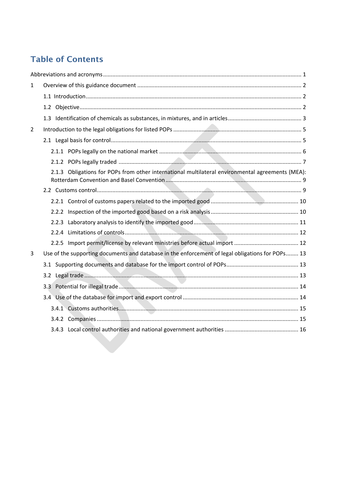# **Table of Contents**

| $\mathbf{1}$   |                                                                                                  |  |
|----------------|--------------------------------------------------------------------------------------------------|--|
|                |                                                                                                  |  |
|                |                                                                                                  |  |
|                |                                                                                                  |  |
| $\overline{2}$ |                                                                                                  |  |
|                |                                                                                                  |  |
|                |                                                                                                  |  |
|                |                                                                                                  |  |
|                | 2.1.3 Obligations for POPs from other international multilateral environmental agreements (MEA): |  |
|                |                                                                                                  |  |
|                |                                                                                                  |  |
|                |                                                                                                  |  |
|                |                                                                                                  |  |
|                |                                                                                                  |  |
|                |                                                                                                  |  |
| 3              | Use of the supporting documents and database in the enforcement of legal obligations for POPs 13 |  |
|                |                                                                                                  |  |
|                |                                                                                                  |  |
|                |                                                                                                  |  |
|                |                                                                                                  |  |
|                |                                                                                                  |  |
|                |                                                                                                  |  |
|                |                                                                                                  |  |
|                |                                                                                                  |  |
|                |                                                                                                  |  |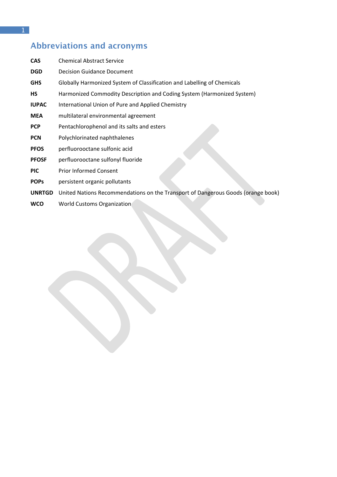# <span id="page-4-0"></span>**Abbreviations and acronyms**

| <b>CAS</b>    | <b>Chemical Abstract Service</b>                                                 |
|---------------|----------------------------------------------------------------------------------|
| <b>DGD</b>    | <b>Decision Guidance Document</b>                                                |
| <b>GHS</b>    | Globally Harmonized System of Classification and Labelling of Chemicals          |
| <b>HS</b>     | Harmonized Commodity Description and Coding System (Harmonized System)           |
| <b>IUPAC</b>  | International Union of Pure and Applied Chemistry                                |
| <b>MEA</b>    | multilateral environmental agreement                                             |
| <b>PCP</b>    | Pentachlorophenol and its salts and esters                                       |
| <b>PCN</b>    | Polychlorinated naphthalenes                                                     |
| <b>PFOS</b>   | perfluorooctane sulfonic acid                                                    |
| <b>PFOSF</b>  | perfluorooctane sulfonyl fluoride                                                |
| <b>PIC</b>    | <b>Prior Informed Consent</b>                                                    |
| <b>POPS</b>   | persistent organic pollutants                                                    |
| <b>UNRTGD</b> | United Nations Recommendations on the Transport of Dangerous Goods (orange book) |
|               |                                                                                  |

**WCO** World Customs Organization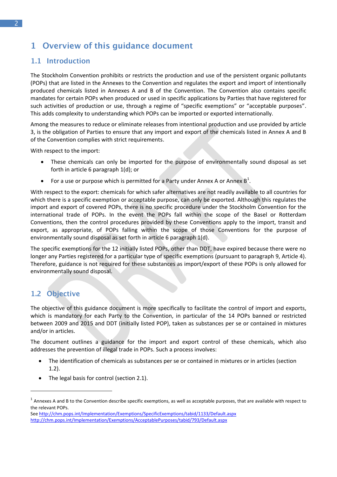# <span id="page-5-0"></span>1 Overview of this guidance document

#### <span id="page-5-1"></span>1.1 Introduction

The Stockholm Convention prohibits or restricts the production and use of the persistent organic pollutants (POPs) that are listed in the Annexes to the Convention and regulates the export and import of intentionally produced chemicals listed in Annexes A and B of the Convention. The Convention also contains specific mandates for certain POPs when produced or used in specific applications by Parties that have registered for such activities of production or use, through a regime of "specific exemptions" or "acceptable purposes". This adds complexity to understanding which POPs can be imported or exported internationally.

Among the measures to reduce or eliminate releases from intentional production and use provided by article 3, is the obligation of Parties to ensure that any import and export of the chemicals listed in Annex A and B of the Convention complies with strict requirements.

With respect to the import:

- These chemicals can only be imported for the purpose of environmentally sound disposal as set forth in article 6 paragraph 1(d); or
- For a use or purpose which is permitted for a Party under Annex A or Annex  $B^1$ .

With respect to the export: chemicals for which safer alternatives are not readily available to all countries for which there is a specific exemption or acceptable purpose, can only be exported. Although this regulates the import and export of covered POPs, there is no specific procedure under the Stockholm Convention for the international trade of POPs. In the event the POPs fall within the scope of the Basel or Rotterdam Conventions, then the control procedures provided by these Conventions apply to the import, transit and export, as appropriate, of POPs falling within the scope of those Conventions for the purpose of environmentally sound disposal as set forth in article 6 paragraph 1(d).

The specific exemptions for the 12 initially listed POPs, other than DDT, have expired because there were no longer any Parties registered for a particular type of specific exemptions (pursuant to paragraph 9, Article 4). Therefore, guidance is not required for these substances as import/export of these POPs is only allowed for environmentally sound disposal.

# 1.2 Objective

1

The objective of this guidance document is more specifically to facilitate the control of import and exports, which is mandatory for each Party to the Convention, in particular of the 14 POPs banned or restricted between 2009 and 2015 and DDT (initially listed POP), taken as substances per se or contained in mixtures and/or in articles.

The document outlines a guidance for the import and export control of these chemicals, which also addresses the prevention of illegal trade in POPs. Such a process involves:

- The identification of chemicals as substances per se or contained in mixtures or in articles (section 1.2).
- The legal basis for control (section 2.1).

 $^1$  Annexes A and B to the Convention describe specific exemptions, as well as acceptable purposes, that are available with respect to the relevant POPs.

Se[e http://chm.pops.int/Implementation/Exemptions/SpecificExemptions/tabid/1133/Default.aspx](http://chm.pops.int/Implementation/Exemptions/SpecificExemptions/tabid/1133/Default.aspx) <http://chm.pops.int/Implementation/Exemptions/AcceptablePurposes/tabid/793/Default.aspx>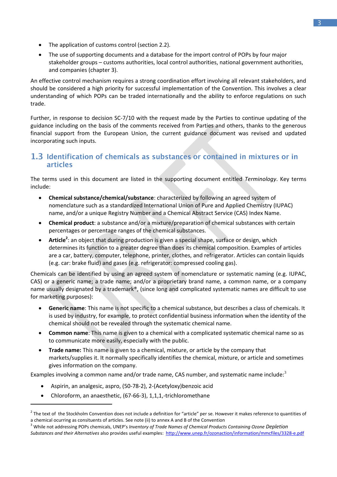- The application of customs control (section 2.2).
- The use of supporting documents and a database for the import control of POPs by four major stakeholder groups – customs authorities, local control authorities, national government authorities, and companies (chapter 3).

An effective control mechanism requires a strong coordination effort involving all relevant stakeholders, and should be considered a high priority for successful implementation of the Convention. This involves a clear understanding of which POPs can be traded internationally and the ability to enforce regulations on such trade.

Further, in response to decision SC-7/10 with the request made by the Parties to continue updating of the guidance including on the basis of the comments received from Parties and others, thanks to the generous financial support from the European Union, the current guidance document was revised and updated incorporating such inputs.

#### <span id="page-6-0"></span>1.3 Identification of chemicals as substances or contained in mixtures or in **articles**

The terms used in this document are listed in the supporting document entitled *Terminology*. Key terms include:

- **Chemical substance/chemical/substance**: characterized by following an agreed system of nomenclature such as a standardized International Union of Pure and Applied Chemistry (IUPAC) name, and/or a unique Registry Number and a Chemical Abstract Service (CAS) Index Name.
- **Chemical product**: a substance and/or a mixture/preparation of chemical substances with certain percentages or percentage ranges of the chemical substances.
- **Article<sup>2</sup>:** an object that during production is given a special shape, surface or design, which determines its function to a greater degree than does its chemical composition. Examples of articles are a car, battery, computer, telephone, printer, clothes, and refrigerator. Articles can contain liquids (e.g. car: brake fluid) and gases (e.g. refrigerator: compressed cooling gas).

Chemicals can be identified by using an agreed system of nomenclature or systematic naming (e.g. IUPAC, CAS) or a generic name; a trade name; and/or a proprietary brand name, a common name, or a company name usually designated by a trademark®, (since long and complicated systematic names are difficult to use for marketing purposes):

- **Generic name**: This name is not specific to a chemical substance, but describes a class of chemicals. It is used by industry, for example, to protect confidential business information when the identity of the chemical should not be revealed through the systematic chemical name.
- **Common name**: This name is given to a chemical with a complicated systematic chemical name so as to communicate more easily, especially with the public.
- **Trade name:** This name is given to a chemical, mixture, or article by the company that markets/supplies it. It normally specifically identifies the chemical, mixture, or article and sometimes gives information on the company.

Examples involving a common name and/or trade name, CAS number, and systematic name include: $3$ 

- Aspirin, an analgesic, aspro, (50-78-2), 2-(Acetyloxy)benzoic acid
- Chloroform, an anaesthetic, (67-66-3), 1,1,1,-trichloromethane

 $^2$  The text of the Stockholm Convention does not include a definition for "article" per se. However it makes reference to quantities of a chemical ocurring as consituents of articles. See note (ii) to annex A and B of the Convention

<sup>3</sup> While not addressing POPs chemicals, UNEP's *Inventory of Trade Names of Chemical Products Containing Ozone Depletion Substances and their Alternatives* also provides useful examples:<http://www.unep.fr/ozonaction/information/mmcfiles/3328-e.pdf>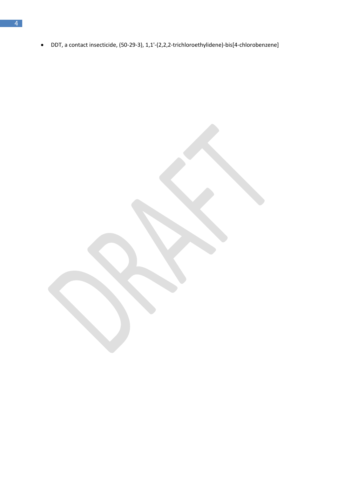DDT, a contact insecticide, (50-29-3), 1,1'-(2,2,2-trichloroethylidene)-bis[4-chlorobenzene]

 $\overline{4}$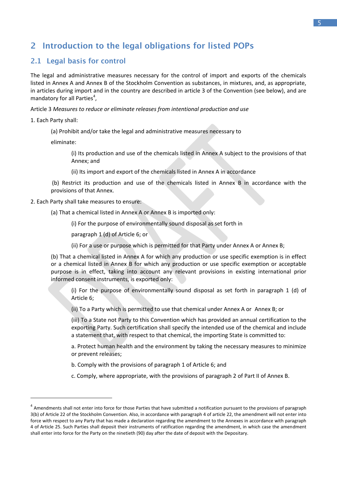# <span id="page-8-0"></span>2 Introduction to the legal obligations for listed POPs

#### <span id="page-8-1"></span>2.1 Legal basis for control

The legal and administrative measures necessary for the control of import and exports of the chemicals listed in Annex A and Annex B of the Stockholm Convention as substances, in mixtures, and, as appropriate, in articles during import and in the country are described in article 3 of the Convention (see below), and are mandatory for all Parties<sup>4</sup>,

Article 3 *Measures to reduce or eliminate releases from intentional production and use*

1. Each Party shall:

**.** 

(a) Prohibit and/or take the legal and administrative measures necessary to

eliminate:

(i) Its production and use of the chemicals listed in Annex A subject to the provisions of that Annex; and

(ii) Its import and export of the chemicals listed in Annex A in accordance

(b) Restrict its production and use of the chemicals listed in Annex B in accordance with the provisions of that Annex.

- 2. Each Party shall take measures to ensure:
	- (a) That a chemical listed in Annex A or Annex B is imported only:

(i) For the purpose of environmentally sound disposal as set forth in

paragraph 1 (d) of Article 6; or

(ii) For a use or purpose which is permitted for that Party under Annex A or Annex B;

(b) That a chemical listed in Annex A for which any production or use specific exemption is in effect or a chemical listed in Annex B for which any production or use specific exemption or acceptable purpose is in effect, taking into account any relevant provisions in existing international prior informed consent instruments, is exported only:

(i) For the purpose of environmentally sound disposal as set forth in paragraph 1 (d) of Article 6;

(ii) To a Party which is permitted to use that chemical under Annex A or Annex B; or

(iii) To a State not Party to this Convention which has provided an annual certification to the exporting Party. Such certification shall specify the intended use of the chemical and include a statement that, with respect to that chemical, the importing State is committed to:

a. Protect human health and the environment by taking the necessary measures to minimize or prevent releases;

b. Comply with the provisions of paragraph 1 of Article 6; and

c. Comply, where appropriate, with the provisions of paragraph 2 of Part II of Annex B.

<sup>&</sup>lt;sup>4</sup> Amendments shall not enter into force for those Parties that have submitted a notification pursuant to the provisions of paragraph 3(b) of Article 22 of the Stockholm Convention. Also, in accordance with paragraph 4 of article 22, the amendment will not enter into force with respect to any Party that has made a declaration regarding the amendment to the Annexes in accordance with paragraph 4 of Article 25. Such Parties shall deposit their instruments of ratification regarding the amendment, in which case the amendment shall enter into force for the Party on the ninetieth (90) day after the date of deposit with the Depositary.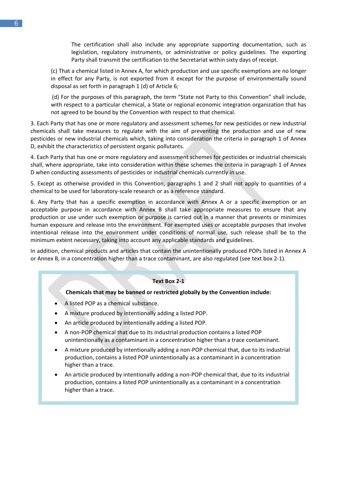The certification shall also include any appropriate supporting documentation, such as legislation, regulatory instruments, or administrative or policy guidelines. The exporting Party shall transmit the certification to the Secretariat within sixty days of receipt.

(c) That a chemical listed in Annex A, for which production and use specific exemptions are no longer in effect for any Party, is not exported from it except for the purpose of environmentally sound disposal as set forth in paragraph 1 (d) of Article 6;

(d) For the purposes of this paragraph, the term "State not Party to this Convention" shall include, with respect to a particular chemical, a State or regional economic integration organization that has not agreed to be bound by the Convention with respect to that chemical.

3. Each Party that has one or more regulatory and assessment schemes for new pesticides or new industrial chemicals shall take measures to regulate with the aim of preventing the production and use of new pesticides or new industrial chemicals which, taking into consideration the criteria in paragraph 1 of Annex D, exhibit the characteristics of persistent organic pollutants.

4. Each Party that has one or more regulatory and assessment schemes for pesticides or industrial chemicals shall, where appropriate, take into consideration within these schemes the criteria in paragraph 1 of Annex D when conducting assessments of pesticides or industrial chemicals currently in use.

5. Except as otherwise provided in this Convention, paragraphs 1 and 2 shall not apply to quantities of a chemical to be used for laboratory-scale research or as a reference standard.

6. Any Party that has a specific exemption in accordance with Annex A or a specific exemption or an acceptable purpose in accordance with Annex B shall take appropriate measures to ensure that any production or use under such exemption or purpose is carried out in a manner that prevents or minimizes human exposure and release into the environment. For exempted uses or acceptable purposes that involve intentional release into the environment under conditions of normal use, such release shall be to the minimum extent necessary, taking into account any applicable standards and guidelines.

In addition, chemical products and articles that contain the unintentionally produced POPs listed in Annex A or Annex B, in a concentration higher than a trace contaminant, are also regulated (see text box 2-1).

#### **Text Box 2-1**

#### **Chemicals that may be banned or restricted globally by the Convention include:**

- A listed POP as a chemical substance.
- A mixture produced by intentionally adding a listed POP.
- An article produced by intentionally adding a listed POP.
- A non-POP chemical that due to its industrial production contains a listed POP unintentionally as a contaminant in a concentration higher than a trace contaminant.
- A mixture produced by intentionally adding a non-POP chemical that, due to its industrial production, contains a listed POP unintentionally as a contaminant in a concentration higher than a trace.
- An article produced by intentionally adding a non-POP chemical that, due to its industrial production, contains a listed POP unintentionally as a contaminant in a concentration higher than a trace.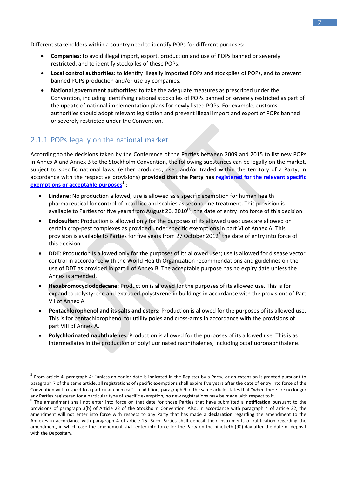Different stakeholders within a country need to identify POPs for different purposes:

- **Companies:** to avoid illegal import, export, production and use of POPs banned or severely restricted, and to identify stockpiles of these POPs.
- **Local control authorities**: to identify illegally imported POPs and stockpiles of POPs, and to prevent banned POPs production and/or use by companies.
- **National government authorities**: to take the adequate measures as prescribed under the Convention, including identifying national stockpiles of POPs banned or severely restricted as part of the update of national implementation plans for newly listed POPs. For example, customs authorities should adopt relevant legislation and prevent illegal import and export of POPs banned or severely restricted under the Convention.

#### <span id="page-10-0"></span>2.1.1 POPs legally on the national market

1

According to the decisions taken by the Conference of the Parties between 2009 and 2015 to list new POPs in Annex A and Annex B to the Stockholm Convention, the following substances can be legally on the market, subject to specific national laws, (either produced, used and/or traded within the territory of a Party, in accordance with the respective provisions) **provided that the Party has [registered for the relevant specific](http://chm.pops.int/Procedures/Exemptionsandacceptablepurposes/tabid/4646/Default.aspx)  [exemptions or acceptable purposes](http://chm.pops.int/Procedures/Exemptionsandacceptablepurposes/tabid/4646/Default.aspx)<sup>5</sup>** :

- **Lindane**: No production allowed; use is allowed as a specific exemption for human health pharmaceutical for control of head lice and scabies as second line treatment. This provision is available to Parties for five years from August 26, 2010<sup>(7)</sup>, the date of entry into force of this decision.
- **Endosulfan**: Production is allowed only for the purposes of its allowed uses; uses are allowed on certain crop-pest complexes as provided under specific exemptions in part VI of Annex A. This provision is available to Parties for five years from 27 October 2012<sup>6</sup> the date of entry into force of this decision.
- **DDT**: Production is allowed only for the purposes of its allowed uses; use is allowed for disease vector control in accordance with the World Health Organization recommendations and guidelines on the use of DDT as provided in part II of Annex B. The acceptable purpose has no expiry date unless the Annex is amended.
- **Hexabromocyclododecane**: Production is allowed for the purposes of its allowed use. This is for expanded polystyrene and extruded polystyrene in buildings in accordance with the provisions of Part VII of Annex A.
- **Pentachlorophenol and its salts and esters:** Production is allowed for the purposes of its allowed use. This is for pentachlorophenol for utility poles and cross-arms in accordance with the provisions of part VIII of Annex A.
- **Polychlorinated naphthalenes:** Production is allowed for the purposes of its allowed use. This is as intermediates in the production of polyfluorinated naphthalenes, including octafluoronaphthalene.

<sup>&</sup>lt;sup>5</sup> From article 4, paragraph 4: "unless an earlier date is indicated in the Register by a Party, or an extension is granted pursuant to paragraph 7 of the same article, all registrations of specific exemptions shall expire five years after the date of entry into force of the Convention with respect to a particular chemical". In addition, paragraph 9 of the same article states that "when there are no longer any Parties registered for a particular type of specific exemption, no new registrations may be made with respect to it.

<sup>6</sup> The amendment shall not enter into force on that date for those Parties that have submitted a **notification** pursuant to the provisions of paragraph 3(b) of Article 22 of the Stockholm Convention. Also, in accordance with paragraph 4 of article 22, the amendment will not enter into force with respect to any Party that has made a **declaration** regarding the amendment to the Annexes in accordance with paragraph 4 of article 25. Such Parties shall deposit their instruments of ratification regarding the amendment, in which case the amendment shall enter into force for the Party on the ninetieth (90) day after the date of deposit with the Depositary.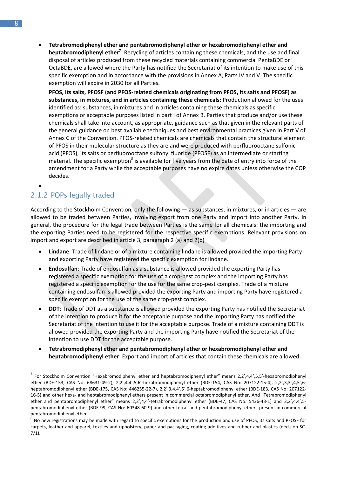**Tetrabromodiphenyl ether and pentabromodiphenyl ether or hexabromodiphenyl ether and heptabromodiphenyl ether<sup>7</sup>** : Recycling of articles containing these chemicals, and the use and final disposal of articles produced from these recycled materials containing commercial PentaBDE or OctaBDE, are allowed where the Party has notified the Secretariat of its intention to make use of this specific exemption and in accordance with the provisions in Annex A, Parts IV and V. The specific exemption will expire in 2030 for all Parties.

**PFOS, its salts, PFOSF (and PFOS-related chemicals originating from PFOS, its salts and PFOSF) as substances, in mixtures, and in articles containing these chemicals:** Production allowed for the uses identified as: substances, in mixtures and in articles containing these chemicals as specific exemptions or acceptable purposes listed in part I of Annex B. Parties that produce and/or use these chemicals shall take into account, as appropriate, guidance such as that given in the relevant parts of the general guidance on best available techniques and best environmental practices given in Part V of Annex C of the Convention. PFOS-related chemicals are chemicals that contain the structural element of PFOS in their molecular structure as they are and were produced with perfluorooctane sulfonic acid (PFOS), its salts or perfluorooctane sulfonyl fluoride (PFOSF) as an intermediate or starting material. The specific exemption<sup>8</sup> is available for five years from the date of entry into force of the amendment for a Party while the acceptable purposes have no expire dates unless otherwise the COP decides.

#### <span id="page-11-0"></span> $\bullet$ 2.1.2 POPs legally traded

**.** 

According to the Stockholm Convention, only the following ― as substances, in mixtures, or in articles ― are allowed to be traded between Parties, involving export from one Party and import into another Party. In general, the procedure for the legal trade between Parties is the same for all chemicals: the importing and the exporting Parties need to be registered for the respective specific exemptions. Relevant provisions on import and export are described in article 3, paragraph 2 (a) and 2(b)

- **Lindane**: Trade of lindane or of a mixture containing lindane is allowed provided the importing Party and exporting Party have registered the specific exemption for lindane.
- **Endosulfan**: Trade of endosulfan as a substance is allowed provided the exporting Party has registered a specific exemption for the use of a crop-pest complex and the importing Party has registered a specific exemption for the use for the same crop-pest complex. Trade of a mixture containing endosulfan is allowed provided the exporting Party and importing Party have registered a specific exemption for the use of the same crop-pest complex.
- **DDT**: Trade of DDT as a substance is allowed provided the exporting Party has notified the Secretariat of the intention to produce it for the acceptable purpose and the importing Party has notified the Secretariat of the intention to use it for the acceptable purpose. Trade of a mixture containing DDT is allowed provided the exporting Party and the importing Party have notified the Secretariat of the intention to use DDT for the acceptable purpose.
- **Tetrabromodiphenyl ether and pentabromodiphenyl ether or hexabromodiphenyl ether and heptabromodiphenyl ether**: Export and import of articles that contain these chemicals are allowed

<sup>&</sup>lt;sup>7</sup> For Stockholm Convention "Hexabromodiphenyl ether and heptabromodiphenyl ether" means 2,2',4,4',5,5'-hexabromodiphenyl ether (BDE-153, CAS No: 68631-49-2), 2,2',4,4',5,6'-hexabromodiphenyl ether (BDE-154, CAS No: 207122-15-4), 2,2',3,3',4,5',6 heptabromodiphenyl ether (BDE-175, CAS No: 446255-22-7), 2,2',3,4,4',5',6-heptabromodiphenyl ether (BDE-183, CAS No: 207122- 16-5) and other hexa- and heptabromodiphenyl ethers present in commercial octabromodiphenyl ether. And "Tetrabromodiphenyl ether and pentabromodiphenyl ether" means 2,2',4,4'-tetrabromodiphenyl ether (BDE-47, CAS No: 5436-43-1) and 2,2',4,4',5 pentabromodiphenyl ether (BDE-99, CAS No: 60348-60-9) and other tetra- and pentabromodiphenyl ethers present in commercial pentabromodiphenyl ether.

 $^{\rm S}$  No new registrations may be made with regard to specific exemptions for the production and use of PFOS, its salts and PFOSF for carpets, leather and apparel, textiles and upholstery, paper and packaging, coating additives and rubber and plastics (decision SC-7/1).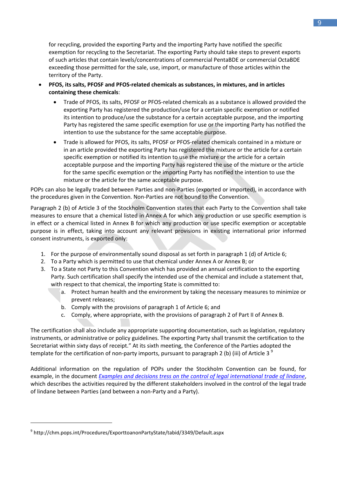for recycling, provided the exporting Party and the importing Party have notified the specific exemption for recycling to the Secretariat. The exporting Party should take steps to prevent exports of such articles that contain levels/concentrations of commercial PentaBDE or commercial OctaBDE exceeding those permitted for the sale, use, import, or manufacture of those articles within the territory of the Party.

- **PFOS, its salts, PFOSF and PFOS-related chemicals as substances, in mixtures, and in articles containing these chemicals**:
	- Trade of PFOS, its salts, PFOSF or PFOS-related chemicals as a substance is allowed provided the exporting Party has registered the production/use for a certain specific exemption or notified its intention to produce/use the substance for a certain acceptable purpose, and the importing Party has registered the same specific exemption for use or the importing Party has notified the intention to use the substance for the same acceptable purpose.
	- Trade is allowed for PFOS, its salts, PFOSF or PFOS-related chemicals contained in a mixture or in an article provided the exporting Party has registered the mixture or the article for a certain specific exemption or notified its intention to use the mixture or the article for a certain acceptable purpose and the importing Party has registered the use of the mixture or the article for the same specific exemption or the importing Party has notified the intention to use the mixture or the article for the same acceptable purpose.

POPs can also be legally traded between Parties and non-Parties (exported or imported), in accordance with the procedures given in the Convention. Non-Parties are not bound to the Convention.

Paragraph 2 (b) of Article 3 of the Stockholm Convention states that each Party to the Convention shall take measures to ensure that a chemical listed in Annex A for which any production or use specific exemption is in effect or a chemical listed in Annex B for which any production or use specific exemption or acceptable purpose is in effect, taking into account any relevant provisions in existing international prior informed consent instruments, is exported only:

- 1. For the purpose of environmentally sound disposal as set forth in paragraph 1 (d) of Article 6;
- 2. To a Party which is permitted to use that chemical under Annex A or Annex B; or
- 3. To a State not Party to this Convention which has provided an annual certification to the exporting Party. Such certification shall specify the intended use of the chemical and include a statement that, with respect to that chemical, the importing State is committed to:
	- a. Protect human health and the environment by taking the necessary measures to minimize or prevent releases;
	- b. Comply with the provisions of paragraph 1 of Article 6; and
	- c. Comply, where appropriate, with the provisions of paragraph 2 of Part II of Annex B.

The certification shall also include any appropriate supporting documentation, such as legislation, regulatory instruments, or administrative or policy guidelines. The exporting Party shall transmit the certification to the Secretariat within sixty days of receipt." At its sixth meeting, the Conference of the Parties adopted the template for the certification of non-party imports, pursuant to paragraph 2 (b) (iii) of Article 3<sup>9</sup>

Additional information on the regulation of POPs under the Stockholm Convention can be found, for example, in the document *[Examples and decisions tress on the control of legal international trade of lindane](http://chm.pops.int/Implementation/NationalImplementationPlans/Guidance/NIPGuidanceSupportingDocuments/tabid/2941/Default.aspx)*, which describes the activities required by the different stakeholders involved in the control of the legal trade of lindane between Parties (and between a non-Party and a Party).

**.** 

<sup>9</sup> http://chm.pops.int/Procedures/ExporttoanonPartyState/tabid/3349/Default.aspx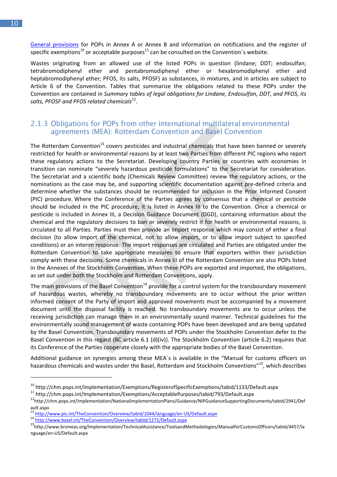[General provisions](http://chm.pops.int/Procedures/Articlesinuseandclosedsystem/tabid/4647/Default.aspx) for POPs in Annex A or Annex B and information on notifications and the register of specific exemptions<sup>10</sup> or acceptable purposes<sup>11</sup> can be consulted on the Convention's website.

Wastes originating from an allowed use of the listed POPs in question (lindane; DDT; endosulfan; tetrabromodiphenyl ether and pentabromodiphenyl ether or hexabromodiphenyl ether and heptabromodiphenyl ether; PFOS, its salts, PFOSF) as substances, in mixtures, and in articles are subject to Article 6 of the Convention. Tables that summarize the obligations related to these POPs under the Convention are contained in *Summary tables of legal obligations for Lindane, Endosulfan, DDT, and PFOS, its salts, PFOSF and PFOS related chemicals<sup>12</sup>* .

#### <span id="page-13-0"></span>2.1.3 Obligations for POPs from other international multilateral environmental agreements (MEA): Rotterdam Convention and Basel Convention

The Rotterdam Convention<sup>13</sup> covers pesticides and industrial chemicals that have been banned or severely restricted for health or environmental reasons by at least two Parties from different PIC regions who report these regulatory actions to the Secretariat. Developing country Parties or countries with economies in transition can nominate "severely hazardous pesticide formulations" to the Secretariat for consideration. The Secretariat and a scientific body (Chemicals Review Committee) review the regulatory actions, or the nominations as the case may be, and supporting scientific documentation against pre-defined criteria and determine whether the substances should be recommended for inclusion in the Prior Informed Consent (PIC) procedure. Where the Conference of the Parties agrees by consensus that a chemical or pesticide should be included in the PIC procedure, it is listed in Annex III to the Convention. Once a chemical or pesticide is included in Annex III, a Decision Guidance Document (DGD), containing information about the chemical and the regulatory decisions to ban or severely restrict it for health or environmental reasons, is circulated to all Parties. Parties must then provide an import response which may consist of either a final decision (to allow import of the chemical, not to allow import, or to allow import subject to specified conditions) or an interim response. The import responses are circulated and Parties are obligated under the Rotterdam Convention to take appropriate measures to ensure that exporters within their jurisdiction comply with these decisions. Some chemicals in Annex III of the Rotterdam Convention are also POPs listed in the Annexes of the Stockholm Convention. When these POPs are exported and imported, the obligations, as set out under both the Stockholm and Rotterdam Conventions, apply.

The main provisions of the Basel Convention<sup>14</sup> provide for a control system for the transboundary movement of hazardous wastes, whereby no transboundary movements are to occur without the prior written informed consent of the Party of import and approved movements must be accompanied by a movement document until the disposal facility is reached. No transboundary movements are to occur unless the receiving jurisdiction can manage them in an environmentally sound manner. Technical guidelines for the environmentally sound management of waste containing POPs have been developed and are being updated by the Basel Convention. Transboundary movements of POPs under the Stockholm Convention defer to the Basel Convention in this regard (BC article 6.1 (d)(iv)). The Stockholm Convention (article 6.2) requires that its Conference of the Parties cooperate closely with the appropriate bodies of the Basel Convention.

Additional guidance on synergies among these MEA´s is available in the "Manual for customs officers on hazardous chemicals and wastes under the Basel, Rotterdam and Stockholm Conventions"<sup>15</sup>, which describes

**.** 

<sup>&</sup>lt;sup>10</sup> http://chm.pops.int/Implementation/Exemptions/RegisterofSpecificExemptions/tabid/1133/Default.aspx

<sup>11</sup> http://chm.pops.int/Implementation/Exemptions/AcceptablePurposes/tabid/793/Default.aspx

<sup>12</sup>http://chm.pops.int/Implementation/NationalImplementationPlans/Guidance/NIPGuidanceSupportingDocuments/tabid/2941/Def ault.aspx

<sup>13</sup> http://www.pic.int/TheConvention/Overview/tabid/1044/language/en-US/Default.aspx

<sup>14</sup> http://www.basel.int/TheConvention/Overview/tabid/1271/Default.aspx

<sup>15</sup>http://www.brsmeas.org/Implementation/TechnicalAssistance/ToolsandMethodologies/ManualforCustomsOfficers/tabid/4457/la nguage/en-US/Default.aspx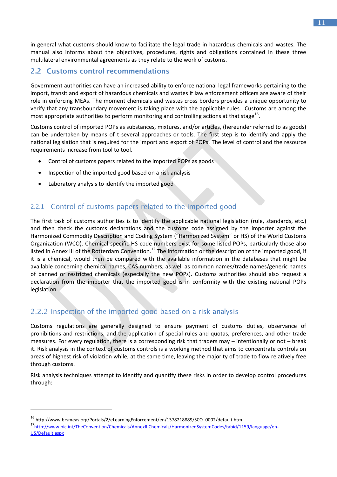in general what customs should know to facilitate the legal trade in hazardous chemicals and wastes. The manual also informs about the objectives, procedures, rights and obligations contained in these three multilateral environmental agreements as they relate to the work of customs.

#### <span id="page-14-0"></span>2.2 Customs control recommendations

Government authorities can have an increased ability to enforce national legal frameworks pertaining to the import, transit and export of hazardous chemicals and wastes if law enforcement officers are aware of their role in enforcing MEAs. The moment chemicals and wastes cross borders provides a unique opportunity to verify that any transboundary movement is taking place with the applicable rules. Customs are among the most appropriate authorities to perform monitoring and controlling actions at that stage<sup>16</sup>.

Customs control of imported POPs as substances, mixtures, and/or articles, (hereunder referred to as goods) can be undertaken by means of t several approaches or tools. The first step is to identify and apply the national legislation that is required for the import and export of POPs. The level of control and the resource requirements increase from tool to tool.

- Control of customs papers related to the imported POPs as goods
- Inspection of the imported good based on a risk analysis
- Laboratory analysis to identify the imported good

#### <span id="page-14-1"></span>Control of customs papers related to the imported good 2.2.1

The first task of customs authorities is to identify the applicable national legislation (rule, standards, etc.) and then check the customs declarations and the customs code assigned by the importer against the Harmonized Commodity Description and Coding System ("Harmonized System" or HS) of the World Customs Organization (WCO). Chemical-specific HS code numbers exist for some listed POPs, particularly those also listed in Annex III of the Rotterdam Convention.<sup>17</sup> The information or the description of the imported good, if it is a chemical, would then be compared with the available information in the databases that might be available concerning chemical names, CAS numbers, as well as common names/trade names/generic names of banned or restricted chemicals (especially the new POPs). Customs authorities should also request a declaration from the importer that the imported good is in conformity with the existing national POPs legislation.

#### <span id="page-14-2"></span>2.2.2 Inspection of the imported good based on a risk analysis

Customs regulations are generally designed to ensure payment of customs duties, observance of prohibitions and restrictions, and the application of special rules and quotas, preferences, and other trade measures. For every regulation, there is a corresponding risk that traders may – intentionally or not – break it. Risk analysis in the context of customs controls is a working method that aims to concentrate controls on areas of highest risk of violation while, at the same time, leaving the majority of trade to flow relatively free through customs.

Risk analysis techniques attempt to identify and quantify these risks in order to develop control procedures through:

<sup>16</sup> http://www.brsmeas.org/Portals/2/eLearningEnforcement/en/1378218889/SCO\_0002/default.htm

<sup>17</sup>[http://www.pic.int/TheConvention/Chemicals/AnnexIIIChemicals/HarmonizedSystemCodes/tabid/1159/language/en-](http://www.pic.int/TheConvention/Chemicals/AnnexIIIChemicals/HarmonizedSystemCodes/tabid/1159/language/en-US/Default.aspx)[US/Default.aspx](http://www.pic.int/TheConvention/Chemicals/AnnexIIIChemicals/HarmonizedSystemCodes/tabid/1159/language/en-US/Default.aspx)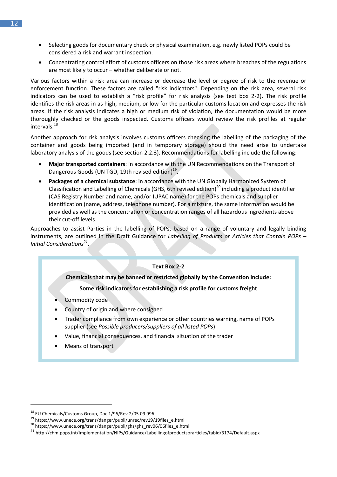- Selecting goods for documentary check or physical examination, e.g. newly listed POPs could be considered a risk and warrant inspection.
- Concentrating control effort of customs officers on those risk areas where breaches of the regulations are most likely to occur – whether deliberate or not.

Various factors within a risk area can increase or decrease the level or degree of risk to the revenue or enforcement function. These factors are called "risk indicators". Depending on the risk area, several risk indicators can be used to establish a "risk profile" for risk analysis (see text box 2-2). The risk profile identifies the risk areas in as high, medium, or low for the particular customs location and expresses the risk areas. If the risk analysis indicates a high or medium risk of violation, the documentation would be more thoroughly checked or the goods inspected. Customs officers would review the risk profiles at regular intervals.<sup>18</sup>

Another approach for risk analysis involves customs officers checking the labelling of the packaging of the container and goods being imported (and in temporary storage) should the need arise to undertake laboratory analysis of the goods (see section 2.2.3). Recommendations for labelling include the following:

- **Major transported containers**: in accordance with the UN Recommendations on the Transport of Dangerous Goods (UN TGD, 19th revised edition)<sup>19</sup>.
- **Packages of a chemical substance**: in accordance with the UN Globally Harmonized System of Classification and Labelling of Chemicals (GHS, 6th revised edition)<sup>20</sup> including a product identifier (CAS Registry Number and name, and/or IUPAC name) for the POPs chemicals and supplier identification (name, address, telephone number). For a mixture, the same information would be provided as well as the concentration or concentration ranges of all hazardous ingredients above their cut-off levels.

Approaches to assist Parties in the labelling of POPs, based on a range of voluntary and legally binding instruments, are outlined in the Draft Guidance for *Labelling of Products or Articles that Contain POPs – Initial Considerations<sup>21</sup>* .

# **Text Box 2-2 Chemicals that may be banned or restricted globally by the Convention include: Some risk indicators for establishing a risk profile for customs freight**

- Commodity code
- Country of origin and where consigned
- Trader compliance from own experience or other countries warning, name of POPs supplier (see *Possible producers/suppliers of all listed POPs*)
- Value, financial consequences, and financial situation of the trader
- Means of transport

<sup>18</sup> EU Chemicals/Customs Group, Doc 1/96/Rev.2/05.09.996.

<sup>19</sup> https://www.unece.org/trans/danger/publi/unrec/rev19/19files\_e.html

<sup>20</sup> https://www.unece.org/trans/danger/publi/ghs/ghs\_rev06/06files\_e.html

<sup>21</sup> http://chm.pops.int/Implementation/NIPs/Guidance/Labellingofproductsorarticles/tabid/3174/Default.aspx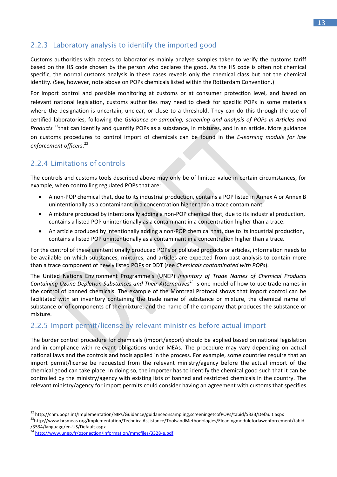### <span id="page-16-0"></span>2.2.3 Laboratory analysis to identify the imported good

Customs authorities with access to laboratories mainly analyse samples taken to verify the customs tariff based on the HS code chosen by the person who declares the good. As the HS code is often not chemical specific, the normal customs analysis in these cases reveals only the chemical class but not the chemical identity. (See, however, note above on POPs chemicals listed within the Rotterdam Convention.)

For import control and possible monitoring at customs or at consumer protection level, and based on relevant national legislation, customs authorities may need to check for specific POPs in some materials where the designation is uncertain, unclear, or close to a threshold. They can do this through the use of certified laboratories, following the *Guidance on sampling, screening and analysis of POPs in Articles and Products* <sup>22</sup>that can identify and quantify POPs as a substance, in mixtures, and in an article. More guidance on customs procedures to control import of chemicals can be found in the *E-learning module for law enforcement officers*. 23

# <span id="page-16-1"></span>2.2.4 Limitations of controls

The controls and customs tools described above may only be of limited value in certain circumstances, for example, when controlling regulated POPs that are:

- A non-POP chemical that, due to its industrial production, contains a POP listed in Annex A or Annex B unintentionally as a contaminant in a concentration higher than a trace contaminant.
- A mixture produced by intentionally adding a non-POP chemical that, due to its industrial production, contains a listed POP unintentionally as a contaminant in a concentration higher than a trace.
- An article produced by intentionally adding a non-POP chemical that, due to its industrial production, contains a listed POP unintentionally as a contaminant in a concentration higher than a trace.

For the control of these unintentionally produced POPs or polluted products or articles, information needs to be available on which substances, mixtures, and articles are expected from past analysis to contain more than a trace component of newly listed POPs or DDT (see *Chemicals contaminated with POPs*).

The United Nations Environment Programme's (UNEP) *Inventory of Trade Names of Chemical Products Containing Ozone Depletion Substances and Their Alternatives*<sup>24</sup> is one model of how to use trade names in the control of banned chemicals. The example of the Montreal Protocol shows that import control can be facilitated with an inventory containing the trade name of substance or mixture, the chemical name of substance or of components of the mixture, and the name of the company that produces the substance or mixture.

# <span id="page-16-2"></span>2.2.5 Import permit/license by relevant ministries before actual import

The border control procedure for chemicals (import/export) should be applied based on national legislation and in compliance with relevant obligations under MEAs. The procedure may vary depending on actual national laws and the controls and tools applied in the process. For example, some countries require that an import permit/license be requested from the relevant ministry/agency before the actual import of the chemical good can take place. In doing so, the importer has to identify the chemical good such that it can be controlled by the ministry/agency with existing lists of banned and restricted chemicals in the country. The relevant ministry/agency for import permits could consider having an agreement with customs that specifies

<sup>23</sup>http://www.brsmeas.org/Implementation/TechnicalAssistance/ToolsandMethodologies/Eleaningmoduleforlawenforcement/tabid /3534/language/en-US/Default.aspx

<sup>&</sup>lt;sup>22</sup> http://chm.pops.int/Implementation/NIPs/Guidance/guidanceonsampling,screeningetcofPOPs/tabid/5333/Default.aspx

<sup>&</sup>lt;sup>24</sup> <http://www.unep.fr/ozonaction/information/mmcfiles/3328-e.pdf>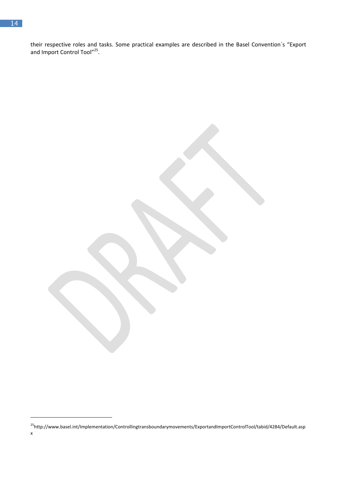their respective roles and tasks. Some practical examples are described in the Basel Convention´s "Export and Import Control Tool"<sup>25</sup>.

**.** 

<sup>25</sup>http://www.basel.int/Implementation/Controllingtransboundarymovements/ExportandImportControlTool/tabid/4284/Default.asp x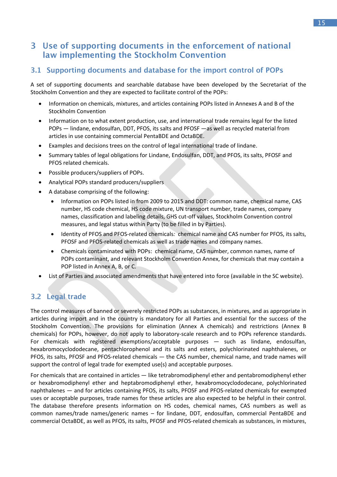# <span id="page-18-0"></span>3 Use of supporting documents in the enforcement of national law implementing the Stockholm Convention

#### <span id="page-18-1"></span>3.1 Supporting documents and database for the import control of POPs

A set of supporting documents and searchable database have been developed by the Secretariat of the Stockholm Convention and they are expected to facilitate control of the POPs:

- Information on chemicals, mixtures, and articles containing POPs listed in Annexes A and B of the Stockholm Convention
- Information on to what extent production, use, and international trade remains legal for the listed POPs ― lindane, endosulfan, DDT, PFOS, its salts and PFOSF ―as well as recycled material from articles in use containing commercial PentaBDE and OctaBDE.
- Examples and decisions trees on the control of legal international trade of lindane.
- Summary tables of legal obligations for Lindane, Endosulfan, DDT, and PFOS, its salts, PFOSF and PFOS related chemicals.
- Possible producers/suppliers of POPs.
- Analytical POPs standard producers/suppliers
- A database comprising of the following:
	- Information on POPs listed in from 2009 to 2015 and DDT: common name, chemical name, CAS number, HS code chemical, HS code mixture, UN transport number, trade names, company names, classification and labeling details, GHS cut-off values, Stockholm Convention control measures, and legal status within Party (to be filled in by Parties).
	- Identity of PFOS and PFOS-related chemicals*:* chemical name and CAS number for PFOS, its salts, PFOSF and PFOS-related chemicals as well as trade names and company names.
	- Chemicals contaminated with POPs: chemical name, CAS number, common names, name of POPs contaminant, and relevant Stockholm Convention Annex, for chemicals that may contain a POP listed in Annex A, B, or C.
- List of Parties and associated amendments that have entered into force (available in the SC website).

#### <span id="page-18-2"></span>3.2 Legal trade

The control measures of banned or severely restricted POPs as substances, in mixtures, and as appropriate in articles during import and in the country is mandatory for all Parties and essential for the success of the Stockholm Convention. The provisions for elimination (Annex A chemicals) and restrictions (Annex B chemicals) for POPs, however, do not apply to laboratory-scale research and to POPs reference standards. For chemicals with registered exemptions/acceptable purposes ― such as lindane, endosulfan, hexabromocyclododecane, pentachlorophenol and its salts and esters, polychlorinated naphthalenes, or PFOS, its salts, PFOSF and PFOS-related chemicals ― the CAS number, chemical name, and trade names will support the control of legal trade for exempted use(s) and acceptable purposes.

For chemicals that are contained in articles ― like tetrabromodiphenyl ether and pentabromodiphenyl ether or hexabromodiphenyl ether and heptabromodiphenyl ether, hexabromocyclododecane, polychlorinated naphthalenes ― and for articles containing PFOS, its salts, PFOSF and PFOS-related chemicals for exempted uses or acceptable purposes, trade names for these articles are also expected to be helpful in their control. The database therefore presents information on HS codes, chemical names, CAS numbers as well as common names/trade names/generic names – for lindane, DDT, endosulfan, commercial PentaBDE and commercial OctaBDE, as well as PFOS, its salts, PFOSF and PFOS-related chemicals as substances, in mixtures,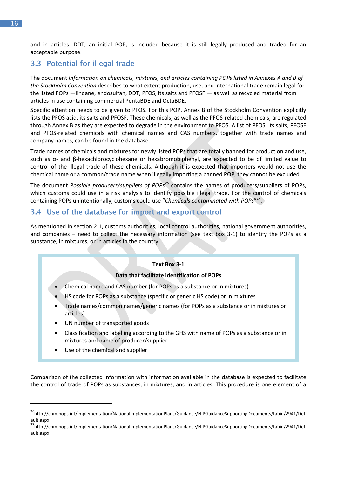and in articles. DDT, an initial POP, is included because it is still legally produced and traded for an acceptable purpose.

#### <span id="page-19-0"></span>3.3 Potential for illegal trade

The document *Information on chemicals, mixtures, and articles containing POPs listed in Annexes A and B of the Stockholm Convention* describes to what extent production, use, and international trade remain legal for the listed POPs ―lindane, endosulfan, DDT, PFOS, its salts and PFOSF ― as well as recycled material from articles in use containing commercial PentaBDE and OctaBDE.

Specific attention needs to be given to PFOS. For this POP, Annex B of the Stockholm Convention explicitly lists the PFOS acid, its salts and PFOSF. These chemicals, as well as the PFOS-related chemicals, are regulated through Annex B as they are expected to degrade in the environment to PFOS. A list of PFOS, its salts, PFOSF and PFOS-related chemicals with chemical names and CAS numbers, together with trade names and company names, can be found in the database.

Trade names of chemicals and mixtures for newly listed POPs that are totally banned for production and use, such as α- and β-hexachlorocyclohexane or hexabromobiphenyl, are expected to be of limited value to control of the illegal trade of these chemicals. Although it is expected that importers would not use the chemical name or a common/trade name when illegally importing a banned POP, they cannot be excluded.

The document P*ossible producers/suppliers of POPs<sup>26</sup>* contains the names of producers/suppliers of POPs, which customs could use in a risk analysis to identify possible illegal trade. For the control of chemicals containing POPs unintentionally, customs could use "*Chemicals contaminated with POPs*" 27 .

#### <span id="page-19-1"></span>3.4 Use of the database for import and export control

As mentioned in section 2.1, customs authorities, local control authorities, national government authorities, and companies – need to collect the necessary information (see text box 3-1) to identify the POPs as a substance, in mixtures, or in articles in the country.

#### **Text Box 3-1**

#### **Data that facilitate identification of POPs**

- Chemical name and CAS number (for POPs as a substance or in mixtures)
- HS code for POPs as a substance (specific or generic HS code) or in mixtures
- Trade names/common names/generic names (for POPs as a substance or in mixtures or articles)
- UN number of transported goods
- Classification and labelling according to the GHS with name of POPs as a substance or in mixtures and name of producer/supplier
- Use of the chemical and supplier

**.** 

Comparison of the collected information with information available in the database is expected to facilitate the control of trade of POPs as substances, in mixtures, and in articles. This procedure is one element of a

<sup>&</sup>lt;sup>26</sup>http://chm.pops.int/Implementation/NationalImplementationPlans/Guidance/NIPGuidanceSupportingDocuments/tabid/2941/Def ault.aspx

<sup>&</sup>lt;sup>27</sup>http://chm.pops.int/Implementation/NationalImplementationPlans/Guidance/NIPGuidanceSupportingDocuments/tabid/2941/Def ault.aspx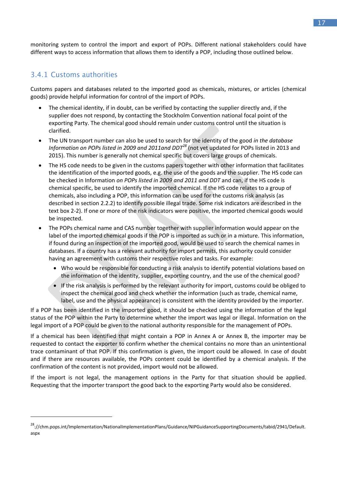monitoring system to control the import and export of POPs. Different national stakeholders could have different ways to access information that allows them to identify a POP, including those outlined below.

#### <span id="page-20-0"></span>3.4.1 Customs authorities

**.** 

Customs papers and databases related to the imported good as chemicals, mixtures, or articles (chemical goods) provide helpful information for control of the import of POPs.

- The chemical identity, if in doubt, can be verified by contacting the supplier directly and, if the supplier does not respond, by contacting the Stockholm Convention national focal point of the exporting Party. The chemical good should remain under customs control until the situation is clarified.
- The UN transport number can also be used to search for the identity of the good *in the database Information on POPs listed in 2009 and 2011and DDT<sup>28</sup>* (not yet updated for POPs listed in 2013 and 2015). This number is generally not chemical specific but covers large groups of chemicals.
- The HS code needs to be given in the customs papers together with other information that facilitates the identification of the imported goods, e.g. the use of the goods and the supplier. The HS code can be checked in Information *on POPs listed in 2009 and 2011 and DDT* and can, if the HS code is chemical specific, be used to identify the imported chemical. If the HS code relates to a group of chemicals, also including a POP, this information can be used for the customs risk analysis (as described in section 2.2.2) to identify possible illegal trade. Some risk indicators are described in the text box 2-2). If one or more of the risk indicators were positive, the imported chemical goods would be inspected.
- The POPs chemical name and CAS number together with supplier information would appear on the label of the imported chemical goods if the POP is imported as such or in a mixture. This information, if found during an inspection of the imported good, would be used to search the chemical names in databases. If a country has a relevant authority for import permits, this authority could consider having an agreement with customs their respective roles and tasks. For example:
	- Who would be responsible for conducting a risk analysis to identify potential violations based on the information of the identity, supplier, exporting country, and the use of the chemical good?
	- If the risk analysis is performed by the relevant authority for import, customs could be obliged to inspect the chemical good and check whether the information (such as trade, chemical name, label, use and the physical appearance) is consistent with the identity provided by the importer.

If a POP has been identified in the imported good, it should be checked using the information of the legal status of the POP within the Party to determine whether the import was legal or illegal. Information on the legal import of a POP could be given to the national authority responsible for the management of POPs.

If a chemical has been identified that might contain a POP in Annex A or Annex B, the importer may be requested to contact the exporter to confirm whether the chemical contains no more than an unintentional trace contaminant of that POP. If this confirmation is given, the import could be allowed. In case of doubt and if there are resources available, the POPs content could be identified by a chemical analysis. If the confirmation of the content is not provided, import would not be allowed.

If the import is not legal, the management options in the Party for that situation should be applied. Requesting that the importer transport the good back to the exporting Party would also be considered.

<sup>28</sup>://chm.pops.int/Implementation/NationalImplementationPlans/Guidance/NIPGuidanceSupportingDocuments/tabid/2941/Default. aspx